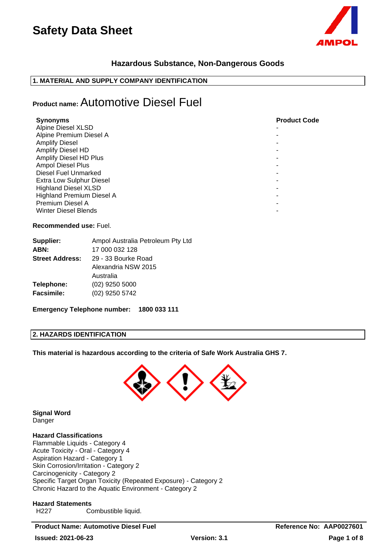

## **Hazardous Substance, Non-Dangerous Goods**

### **1. MATERIAL AND SUPPLY COMPANY IDENTIFICATION**

## **Product name:** Automotive Diesel Fuel

| <b>Synonyms</b>                  | <b>Product Code</b> |
|----------------------------------|---------------------|
| <b>Alpine Diesel XLSD</b>        |                     |
| Alpine Premium Diesel A          |                     |
| <b>Amplify Diesel</b>            |                     |
| Amplify Diesel HD                |                     |
| <b>Amplify Diesel HD Plus</b>    |                     |
| Ampol Diesel Plus                |                     |
| Diesel Fuel Unmarked             |                     |
| Extra Low Sulphur Diesel         |                     |
| <b>Highland Diesel XLSD</b>      |                     |
| <b>Highland Premium Diesel A</b> |                     |
| Premium Diesel A                 |                     |
| <b>Winter Diesel Blends</b>      |                     |

#### **Recommended use:** Fuel.

| Supplier:              | Ampol Australia Petroleum Pty Ltd |
|------------------------|-----------------------------------|
| ABN:                   | 17 000 032 128                    |
| <b>Street Address:</b> | 29 - 33 Bourke Road               |
|                        | Alexandria NSW 2015               |
|                        | Australia                         |
| Telephone:             | $(02)$ 9250 5000                  |
| <b>Facsimile:</b>      | (02) 9250 5742                    |
|                        |                                   |

**Emergency Telephone number: 1800 033 111**

### **2. HAZARDS IDENTIFICATION**

**This material is hazardous according to the criteria of Safe Work Australia GHS 7.**



**Signal Word** Danger

## **Hazard Classifications**

Flammable Liquids - Category 4 Acute Toxicity - Oral - Category 4 Aspiration Hazard - Category 1 Skin Corrosion/Irritation - Category 2 Carcinogenicity - Category 2 Specific Target Organ Toxicity (Repeated Exposure) - Category 2 Chronic Hazard to the Aquatic Environment - Category 2

#### **Hazard Statements**

H227 Combustible liquid.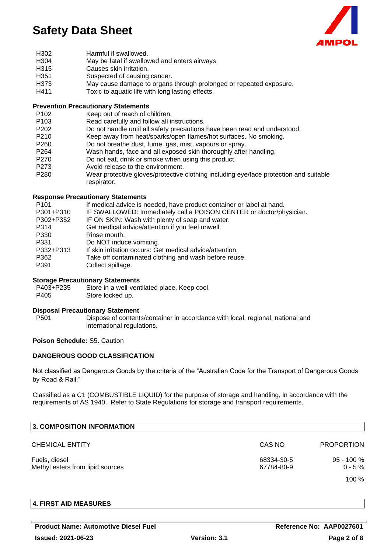

- H302 Harmful if swallowed.
- H304 May be fatal if swallowed and enters airways.
- H315 Causes skin irritation.
- H351 Suspected of causing cancer.<br>H373 May cause damage to organs
- H373 May cause damage to organs through prolonged or repeated exposure.<br>H411 Toxic to aquatic life with long lasting effects
- Toxic to aquatic life with long lasting effects.

#### **Prevention Precautionary Statements**

- P102 Keep out of reach of children.
- P103 Read carefully and follow all instructions.
- P202 Do not handle until all safety precautions have been read and understood.
- P210 Keep away from heat/sparks/open flames/hot surfaces. No smoking.
- P260 Do not breathe dust, fume, gas, mist, vapours or spray.
- P264 Wash hands, face and all exposed skin thoroughly after handling.
- P270 Do not eat, drink or smoke when using this product.
- P273 Avoid release to the environment.
- P280 Wear protective gloves/protective clothing including eye/face protection and suitable respirator.

#### **Response Precautionary Statements**

| P <sub>101</sub> | If medical advice is needed, have product container or label at hand. |
|------------------|-----------------------------------------------------------------------|
| P301+P310        | IF SWALLOWED: Immediately call a POISON CENTER or doctor/physician.   |
| P302+P352        | IF ON SKIN: Wash with plenty of soap and water.                       |
| P314             | Get medical advice/attention if you feel unwell.                      |
| P330             | Rinse mouth.                                                          |
| P331             | Do NOT induce vomiting.                                               |
| P332+P313        | If skin irritation occurs: Get medical advice/attention.              |
| P362             | Take off contaminated clothing and wash before reuse.                 |
| P391             | Collect spillage.                                                     |

#### **Storage Precautionary Statements**

P403+P235 Store in a well-ventilated place. Keep cool. P405 Store locked up.

#### **Disposal Precautionary Statement**

P501 Dispose of contents/container in accordance with local, regional, national and international regulations.

### **Poison Schedule:** S5. Caution

### **DANGEROUS GOOD CLASSIFICATION**

Not classified as Dangerous Goods by the criteria of the "Australian Code for the Transport of Dangerous Goods by Road & Rail."

Classified as a C1 (COMBUSTIBLE LIQUID) for the purpose of storage and handling, in accordance with the requirements of AS 1940. Refer to State Regulations for storage and transport requirements.

| <b>3. COMPOSITION INFORMATION</b>                 |                          |                             |
|---------------------------------------------------|--------------------------|-----------------------------|
| <b>CHEMICAL ENTITY</b>                            | CAS NO                   | <b>PROPORTION</b>           |
| Fuels, diesel<br>Methyl esters from lipid sources | 68334-30-5<br>67784-80-9 | $95 - 100 \%$<br>$0 - 5 \%$ |
|                                                   |                          | $100\%$                     |

#### **4. FIRST AID MEASURES**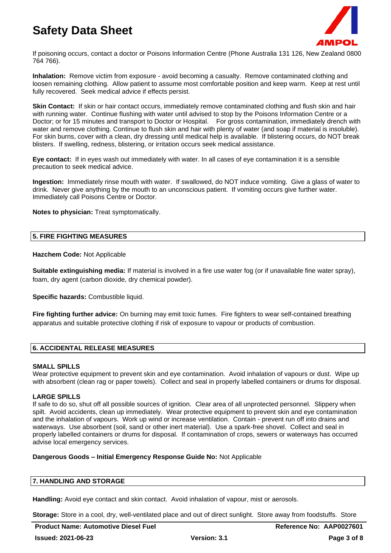

If poisoning occurs, contact a doctor or Poisons Information Centre (Phone Australia 131 126, New Zealand 0800 764 766).

**Inhalation:** Remove victim from exposure - avoid becoming a casualty. Remove contaminated clothing and loosen remaining clothing. Allow patient to assume most comfortable position and keep warm. Keep at rest until fully recovered. Seek medical advice if effects persist.

**Skin Contact:** If skin or hair contact occurs, immediately remove contaminated clothing and flush skin and hair with running water. Continue flushing with water until advised to stop by the Poisons Information Centre or a Doctor; or for 15 minutes and transport to Doctor or Hospital. For gross contamination, immediately drench with water and remove clothing. Continue to flush skin and hair with plenty of water (and soap if material is insoluble). For skin burns, cover with a clean, dry dressing until medical help is available. If blistering occurs, do NOT break blisters. If swelling, redness, blistering, or irritation occurs seek medical assistance.

**Eye contact:** If in eyes wash out immediately with water. In all cases of eye contamination it is a sensible precaution to seek medical advice.

**Ingestion:** Immediately rinse mouth with water. If swallowed, do NOT induce vomiting. Give a glass of water to drink. Never give anything by the mouth to an unconscious patient. If vomiting occurs give further water. Immediately call Poisons Centre or Doctor.

**Notes to physician:** Treat symptomatically.

#### **5. FIRE FIGHTING MEASURES**

#### **Hazchem Code:** Not Applicable

**Suitable extinguishing media:** If material is involved in a fire use water fog (or if unavailable fine water spray), foam, dry agent (carbon dioxide, dry chemical powder).

**Specific hazards:** Combustible liquid.

**Fire fighting further advice:** On burning may emit toxic fumes. Fire fighters to wear self-contained breathing apparatus and suitable protective clothing if risk of exposure to vapour or products of combustion.

### **6. ACCIDENTAL RELEASE MEASURES**

#### **SMALL SPILLS**

Wear protective equipment to prevent skin and eye contamination. Avoid inhalation of vapours or dust. Wipe up with absorbent (clean rag or paper towels). Collect and seal in properly labelled containers or drums for disposal.

#### **LARGE SPILLS**

If safe to do so, shut off all possible sources of ignition. Clear area of all unprotected personnel. Slippery when spilt. Avoid accidents, clean up immediately. Wear protective equipment to prevent skin and eye contamination and the inhalation of vapours. Work up wind or increase ventilation. Contain - prevent run off into drains and waterways. Use absorbent (soil, sand or other inert material). Use a spark-free shovel. Collect and seal in properly labelled containers or drums for disposal. If contamination of crops, sewers or waterways has occurred advise local emergency services.

#### **Dangerous Goods – Initial Emergency Response Guide No:** Not Applicable

#### **7. HANDLING AND STORAGE**

**Handling:** Avoid eye contact and skin contact. Avoid inhalation of vapour, mist or aerosols.

**Storage:** Store in a cool, dry, well-ventilated place and out of direct sunlight. Store away from foodstuffs. Store

**Product Name: Automotive Diesel Fuel Reference No: AAP0027601**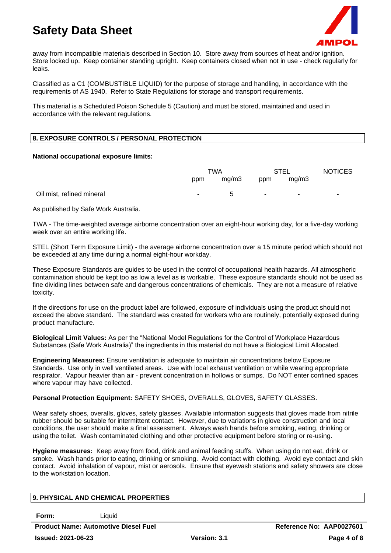

away from incompatible materials described in Section 10. Store away from sources of heat and/or ignition. Store locked up. Keep container standing upright. Keep containers closed when not in use - check regularly for leaks.

Classified as a C1 (COMBUSTIBLE LIQUID) for the purpose of storage and handling, in accordance with the requirements of AS 1940. Refer to State Regulations for storage and transport requirements.

This material is a Scheduled Poison Schedule 5 (Caution) and must be stored, maintained and used in accordance with the relevant regulations.

#### **8. EXPOSURE CONTROLS / PERSONAL PROTECTION**

#### **National occupational exposure limits:**

|                           | <b>TWA</b> |             | <b>STEL</b> |                            | <b>NOTICES</b> |
|---------------------------|------------|-------------|-------------|----------------------------|----------------|
|                           | ppm        | mg/m3       | ppm         | mg/m3                      |                |
| Oil mist, refined mineral | ٠.         | $\mathbf b$ | $\sim$ $-$  | the company of the company | $\sim$         |

As published by Safe Work Australia.

TWA - The time-weighted average airborne concentration over an eight-hour working day, for a five-day working week over an entire working life.

STEL (Short Term Exposure Limit) - the average airborne concentration over a 15 minute period which should not be exceeded at any time during a normal eight-hour workday.

These Exposure Standards are guides to be used in the control of occupational health hazards. All atmospheric contamination should be kept too as low a level as is workable. These exposure standards should not be used as fine dividing lines between safe and dangerous concentrations of chemicals. They are not a measure of relative toxicity.

If the directions for use on the product label are followed, exposure of individuals using the product should not exceed the above standard. The standard was created for workers who are routinely, potentially exposed during product manufacture.

**Biological Limit Values:** As per the "National Model Regulations for the Control of Workplace Hazardous Substances (Safe Work Australia)" the ingredients in this material do not have a Biological Limit Allocated.

**Engineering Measures:** Ensure ventilation is adequate to maintain air concentrations below Exposure Standards. Use only in well ventilated areas. Use with local exhaust ventilation or while wearing appropriate respirator. Vapour heavier than air - prevent concentration in hollows or sumps. Do NOT enter confined spaces where vapour may have collected.

#### **Personal Protection Equipment:** SAFETY SHOES, OVERALLS, GLOVES, SAFETY GLASSES.

Wear safety shoes, overalls, gloves, safety glasses. Available information suggests that gloves made from nitrile rubber should be suitable for intermittent contact. However, due to variations in glove construction and local conditions, the user should make a final assessment. Always wash hands before smoking, eating, drinking or using the toilet. Wash contaminated clothing and other protective equipment before storing or re-using.

**Hygiene measures:** Keep away from food, drink and animal feeding stuffs. When using do not eat, drink or smoke. Wash hands prior to eating, drinking or smoking. Avoid contact with clothing. Avoid eye contact and skin contact. Avoid inhalation of vapour, mist or aerosols. Ensure that eyewash stations and safety showers are close to the workstation location.

#### **9. PHYSICAL AND CHEMICAL PROPERTIES**

**Form:** Liquid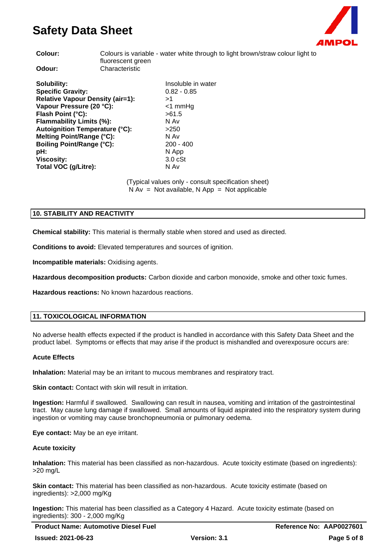

colour light to

| Colour:                                                                                                                                                                                                                                                            | Colours is variable - water white through to light brown/straw<br>fluorescent green |                                                                                                      |
|--------------------------------------------------------------------------------------------------------------------------------------------------------------------------------------------------------------------------------------------------------------------|-------------------------------------------------------------------------------------|------------------------------------------------------------------------------------------------------|
| Odour:                                                                                                                                                                                                                                                             | Characteristic                                                                      |                                                                                                      |
| Solubility:<br><b>Specific Gravity:</b><br><b>Relative Vapour Density (air=1):</b><br>Vapour Pressure (20 °C):<br>Flash Point (°C):<br>Flammability Limits (%):<br>Autoignition Temperature (°C):<br>Melting Point/Range (°C):<br><b>Boiling Point/Range (°C):</b> |                                                                                     | Insoluble in water<br>$0.82 - 0.85$<br>>1<br><1 mmHq<br>>61.5<br>N Av<br>>250<br>N Av<br>$200 - 400$ |
| pH:<br><b>Viscosity:</b><br>Total VOC (g/Litre):                                                                                                                                                                                                                   |                                                                                     | N App<br>3.0 <sub>c</sub><br>N Av                                                                    |
|                                                                                                                                                                                                                                                                    |                                                                                     |                                                                                                      |

(Typical values only - consult specification sheet)  $N Av = Not available, N App = Not applicable$ 

### **10. STABILITY AND REACTIVITY**

**Chemical stability:** This material is thermally stable when stored and used as directed.

**Conditions to avoid:** Elevated temperatures and sources of ignition.

**Incompatible materials:** Oxidising agents.

**Hazardous decomposition products:** Carbon dioxide and carbon monoxide, smoke and other toxic fumes.

**Hazardous reactions:** No known hazardous reactions.

### **11. TOXICOLOGICAL INFORMATION**

No adverse health effects expected if the product is handled in accordance with this Safety Data Sheet and the product label. Symptoms or effects that may arise if the product is mishandled and overexposure occurs are:

#### **Acute Effects**

**Inhalation:** Material may be an irritant to mucous membranes and respiratory tract.

**Skin contact:** Contact with skin will result in irritation.

**Ingestion:** Harmful if swallowed. Swallowing can result in nausea, vomiting and irritation of the gastrointestinal tract. May cause lung damage if swallowed. Small amounts of liquid aspirated into the respiratory system during ingestion or vomiting may cause bronchopneumonia or pulmonary oedema.

**Eye contact:** May be an eye irritant.

#### **Acute toxicity**

**Inhalation:** This material has been classified as non-hazardous. Acute toxicity estimate (based on ingredients): >20 mg/L

**Skin contact:** This material has been classified as non-hazardous. Acute toxicity estimate (based on ingredients): >2,000 mg/Kg

**Ingestion:** This material has been classified as a Category 4 Hazard. Acute toxicity estimate (based on ingredients): 300 - 2,000 mg/Kg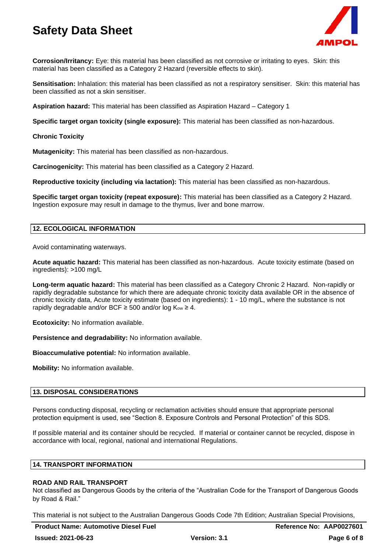

**Corrosion/Irritancy:** Eye: this material has been classified as not corrosive or irritating to eyes. Skin: this material has been classified as a Category 2 Hazard (reversible effects to skin).

**Sensitisation:** Inhalation: this material has been classified as not a respiratory sensitiser. Skin: this material has been classified as not a skin sensitiser.

**Aspiration hazard:** This material has been classified as Aspiration Hazard – Category 1

**Specific target organ toxicity (single exposure):** This material has been classified as non-hazardous.

**Chronic Toxicity**

**Mutagenicity:** This material has been classified as non-hazardous.

**Carcinogenicity:** This material has been classified as a Category 2 Hazard.

**Reproductive toxicity (including via lactation):** This material has been classified as non-hazardous.

**Specific target organ toxicity (repeat exposure):** This material has been classified as a Category 2 Hazard. Ingestion exposure may result in damage to the thymus, liver and bone marrow.

## **12. ECOLOGICAL INFORMATION**

Avoid contaminating waterways.

**Acute aquatic hazard:** This material has been classified as non-hazardous. Acute toxicity estimate (based on ingredients): >100 mg/L

**Long-term aquatic hazard:** This material has been classified as a Category Chronic 2 Hazard. Non-rapidly or rapidly degradable substance for which there are adequate chronic toxicity data available OR in the absence of chronic toxicity data, Acute toxicity estimate (based on ingredients): 1 - 10 mg/L, where the substance is not rapidly degradable and/or BCF  $\geq$  500 and/or log K<sub>ow</sub>  $\geq$  4.

**Ecotoxicity:** No information available.

**Persistence and degradability:** No information available.

**Bioaccumulative potential:** No information available.

**Mobility:** No information available.

#### **13. DISPOSAL CONSIDERATIONS**

Persons conducting disposal, recycling or reclamation activities should ensure that appropriate personal protection equipment is used, see "Section 8. Exposure Controls and Personal Protection" of this SDS.

If possible material and its container should be recycled. If material or container cannot be recycled, dispose in accordance with local, regional, national and international Regulations.

## **14. TRANSPORT INFORMATION**

#### **ROAD AND RAIL TRANSPORT**

Not classified as Dangerous Goods by the criteria of the "Australian Code for the Transport of Dangerous Goods by Road & Rail."

This material is not subject to the Australian Dangerous Goods Code 7th Edition; Australian Special Provisions,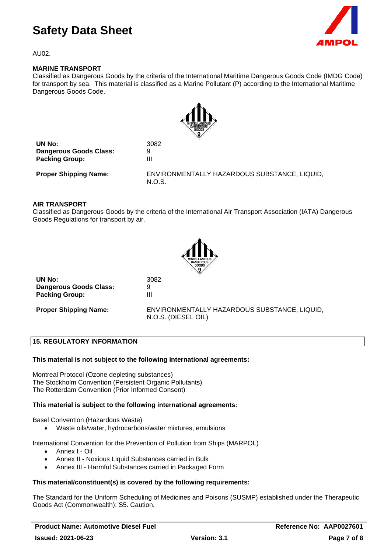

AU02.

#### **MARINE TRANSPORT**

Classified as Dangerous Goods by the criteria of the International Maritime Dangerous Goods Code (IMDG Code) for transport by sea. This material is classified as a Marine Pollutant (P) according to the International Maritime Dangerous Goods Code.



| UN No:                        | 3082 |
|-------------------------------|------|
| <b>Dangerous Goods Class:</b> | 9    |
| <b>Packing Group:</b>         | ш    |

**Proper Shipping Name:** ENVIRONMENTALLY HAZARDOUS SUBSTANCE, LIQUID, N.O.S.

#### **AIR TRANSPORT**

Classified as Dangerous Goods by the criteria of the International Air Transport Association (IATA) Dangerous Goods Regulations for transport by air.



|                              | N.V∕                                         |
|------------------------------|----------------------------------------------|
| UN No:                       | 3082                                         |
| Dangerous Goods Class:       |                                              |
| <b>Packing Group:</b>        | Ш                                            |
| <b>Proper Shipping Name:</b> | ENVIRONMENTALLY HAZARDOUS SUBSTANCE, LIQUID, |

N.O.S. (DIESEL OIL)

## **15. REGULATORY INFORMATION**

#### **This material is not subject to the following international agreements:**

Montreal Protocol (Ozone depleting substances) The Stockholm Convention (Persistent Organic Pollutants) The Rotterdam Convention (Prior Informed Consent)

#### **This material is subject to the following international agreements:**

Basel Convention (Hazardous Waste)

• Waste oils/water, hydrocarbons/water mixtures, emulsions

International Convention for the Prevention of Pollution from Ships (MARPOL)

- Annex I Oil
- Annex II Noxious Liquid Substances carried in Bulk
- Annex III Harmful Substances carried in Packaged Form

#### **This material/constituent(s) is covered by the following requirements:**

The Standard for the Uniform Scheduling of Medicines and Poisons (SUSMP) established under the Therapeutic Goods Act (Commonwealth): S5. Caution.